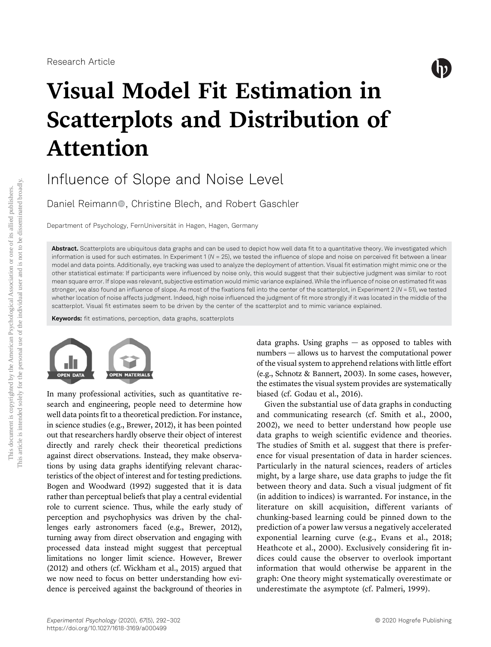

# Visual Model Fit Estimation in Scatterplots and Distribution of Attention

Influence of Slope and Noise Level

Daniel Reimann<sup>®</sup>, Christine Blech, and Robert Gaschler

Department of Psychology, FernUniversität in Hagen, Hagen, Germany

Abstract. Scatterplots are ubiquitous data graphs and can be used to depict how well data fit to a quantitative theory. We investigated which information is used for such estimates. In Experiment  $1(N = 25)$ , we tested the influence of slope and noise on perceived fit between a linear model and data points. Additionally, eye tracking was used to analyze the deployment of attention. Visual fit estimation might mimic one or the other statistical estimate: If participants were influenced by noise only, this would suggest that their subjective judgment was similar to root mean square error. If slope was relevant, subjective estimation would mimic variance explained. While the influence of noise on estimated fit was stronger, we also found an influence of slope. As most of the fixations fell into the center of the scatterplot, in Experiment 2 (N = 51), we tested whether location of noise affects judgment. Indeed, high noise influenced the judgment of fit more strongly if it was located in the middle of the scatterplot. Visual fit estimates seem to be driven by the center of the scatterplot and to mimic variance explained.

Keywords: fit estimations, perception, data graphs, scatterplots



In many professional activities, such as quantitative research and engineering, people need to determine how well data points fit to a theoretical prediction. For instance, in science studies (e.g., Brewer, 2012), it has been pointed out that researchers hardly observe their object of interest directly and rarely check their theoretical predictions against direct observations. Instead, they make observations by using data graphs identifying relevant characteristics of the object of interest and for testing predictions. Bogen and Woodward (1992) suggested that it is data rather than perceptual beliefs that play a central evidential role to current science. Thus, while the early study of perception and psychophysics was driven by the challenges early astronomers faced (e.g., Brewer, 2012), turning away from direct observation and engaging with processed data instead might suggest that perceptual limitations no longer limit science. However, Brewer (2012) and others (cf. Wickham et al., 2015) argued that we now need to focus on better understanding how evidence is perceived against the background of theories in data graphs. Using graphs  $-$  as opposed to tables with numbers — allows us to harvest the computational power of the visual system to apprehend relations with little effort (e.g., Schnotz & Bannert, 2003). In some cases, however, the estimates the visual system provides are systematically biased (cf. Godau et al., 2016).

Given the substantial use of data graphs in conducting and communicating research (cf. Smith et al., 2000, 2002), we need to better understand how people use data graphs to weigh scientific evidence and theories. The studies of Smith et al. suggest that there is preference for visual presentation of data in harder sciences. Particularly in the natural sciences, readers of articles might, by a large share, use data graphs to judge the fit between theory and data. Such a visual judgment of fit (in addition to indices) is warranted. For instance, in the literature on skill acquisition, different variants of chunking-based learning could be pinned down to the prediction of a power law versus a negatively accelerated exponential learning curve (e.g., Evans et al., 2018; Heathcote et al., 2000). Exclusively considering fit indices could cause the observer to overlook important information that would otherwise be apparent in the graph: One theory might systematically overestimate or underestimate the asymptote (cf. Palmeri, 1999).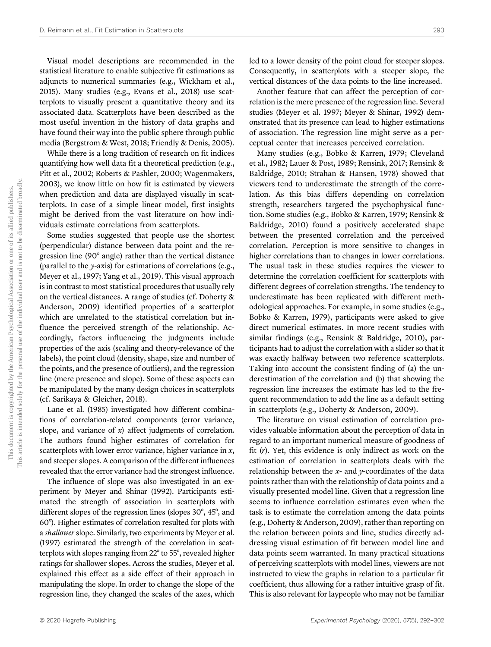Visual model descriptions are recommended in the statistical literature to enable subjective fit estimations as adjuncts to numerical summaries (e.g., Wickham et al., 2015). Many studies (e.g., Evans et al., 2018) use scatterplots to visually present a quantitative theory and its associated data. Scatterplots have been described as the most useful invention in the history of data graphs and have found their way into the public sphere through public media (Bergstrom & West, 2018; Friendly & Denis, 2005).

While there is a long tradition of research on fit indices quantifying how well data fit a theoretical prediction (e.g., Pitt et al., 2002; Roberts & Pashler, 2000; Wagenmakers, 2003), we know little on how fit is estimated by viewers when prediction and data are displayed visually in scatterplots. In case of a simple linear model, first insights might be derived from the vast literature on how individuals estimate correlations from scatterplots.

Some studies suggested that people use the shortest (perpendicular) distance between data point and the regression line (90° angle) rather than the vertical distance (parallel to the y-axis) for estimations of correlations (e.g., Meyer et al., 1997; Yang et al., 2019). This visual approach is in contrast to most statistical procedures that usually rely on the vertical distances. A range of studies (cf. Doherty & Anderson, 2009) identified properties of a scatterplot which are unrelated to the statistical correlation but influence the perceived strength of the relationship. Accordingly, factors influencing the judgments include properties of the axis (scaling and theory-relevance of the labels), the point cloud (density, shape, size and number of the points, and the presence of outliers), and the regression line (mere presence and slope). Some of these aspects can be manipulated by the many design choices in scatterplots (cf. Sarikaya & Gleicher, 2018).

Lane et al. (1985) investigated how different combinations of correlation-related components (error variance, slope, and variance of  $x$ ) affect judgments of correlation. The authors found higher estimates of correlation for scatterplots with lower error variance, higher variance in  $x$ , and steeper slopes. A comparison of the different influences revealed that the error variance had the strongest influence.

The influence of slope was also investigated in an experiment by Meyer and Shinar (1992). Participants estimated the strength of association in scatterplots with different slopes of the regression lines (slopes 30°, 45°, and 60°). Higher estimates of correlation resulted for plots with a shallower slope. Similarly, two experiments by Meyer et al. (1997) estimated the strength of the correlation in scatterplots with slopes ranging from 22° to 55°, revealed higher ratings for shallower slopes. Across the studies, Meyer et al. explained this effect as a side effect of their approach in manipulating the slope. In order to change the slope of the regression line, they changed the scales of the axes, which led to a lower density of the point cloud for steeper slopes. Consequently, in scatterplots with a steeper slope, the vertical distances of the data points to the line increased.

Another feature that can affect the perception of correlation is the mere presence of the regression line. Several studies (Meyer et al. 1997; Meyer & Shinar, 1992) demonstrated that its presence can lead to higher estimations of association. The regression line might serve as a perceptual center that increases perceived correlation.

Many studies (e.g., Bobko & Karren, 1979; Cleveland et al., 1982; Lauer & Post, 1989; Rensink, 2017; Rensink & Baldridge, 2010; Strahan & Hansen, 1978) showed that viewers tend to underestimate the strength of the correlation. As this bias differs depending on correlation strength, researchers targeted the psychophysical function. Some studies (e.g., Bobko & Karren, 1979; Rensink & Baldridge, 2010) found a positively accelerated shape between the presented correlation and the perceived correlation. Perception is more sensitive to changes in higher correlations than to changes in lower correlations. The usual task in these studies requires the viewer to determine the correlation coefficient for scatterplots with different degrees of correlation strengths. The tendency to underestimate has been replicated with different methodological approaches. For example, in some studies (e.g., Bobko & Karren, 1979), participants were asked to give direct numerical estimates. In more recent studies with similar findings (e.g., Rensink & Baldridge, 2010), participants had to adjust the correlation with a slider so that it was exactly halfway between two reference scatterplots. Taking into account the consistent finding of (a) the underestimation of the correlation and (b) that showing the regression line increases the estimate has led to the frequent recommendation to add the line as a default setting in scatterplots (e.g., Doherty & Anderson, 2009).

The literature on visual estimation of correlation provides valuable information about the perception of data in regard to an important numerical measure of goodness of fit  $(r)$ . Yet, this evidence is only indirect as work on the estimation of correlation in scatterplots deals with the relationship between the  $x$ - and  $y$ -coordinates of the data points rather than with the relationship of data points and a visually presented model line. Given that a regression line seems to influence correlation estimates even when the task is to estimate the correlation among the data points (e.g., Doherty & Anderson, 2009), rather than reporting on the relation between points and line, studies directly addressing visual estimation of fit between model line and data points seem warranted. In many practical situations of perceiving scatterplots with model lines, viewers are not instructed to view the graphs in relation to a particular fit coefficient, thus allowing for a rather intuitive grasp of fit. This is also relevant for laypeople who may not be familiar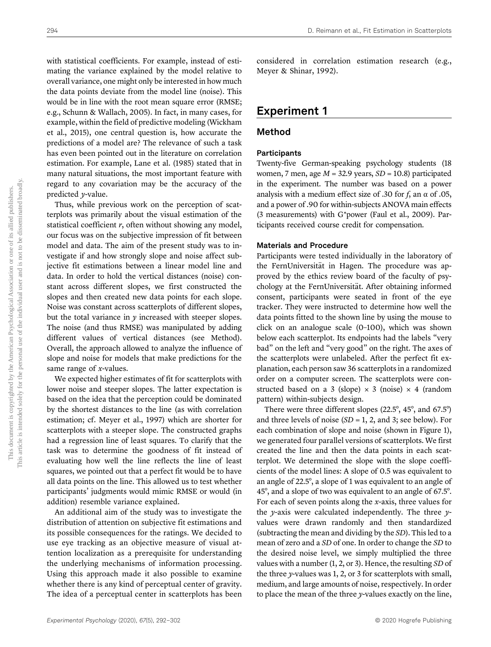with statistical coefficients. For example, instead of estimating the variance explained by the model relative to overall variance, one might only be interested in how much the data points deviate from the model line (noise). This would be in line with the root mean square error (RMSE; e.g., Schunn & Wallach, 2005). In fact, in many cases, for example, within the field of predictive modeling (Wickham et al., 2015), one central question is, how accurate the predictions of a model are? The relevance of such a task has even been pointed out in the literature on correlation estimation. For example, Lane et al. (1985) stated that in many natural situations, the most important feature with regard to any covariation may be the accuracy of the predicted y-value.

Thus, while previous work on the perception of scatterplots was primarily about the visual estimation of the statistical coefficient  $r$ , often without showing any model, our focus was on the subjective impression of fit between model and data. The aim of the present study was to investigate if and how strongly slope and noise affect subjective fit estimations between a linear model line and data. In order to hold the vertical distances (noise) constant across different slopes, we first constructed the slopes and then created new data points for each slope. Noise was constant across scatterplots of different slopes, but the total variance in  $y$  increased with steeper slopes. The noise (and thus RMSE) was manipulated by adding different values of vertical distances (see Method). Overall, the approach allowed to analyze the influence of slope and noise for models that make predictions for the same range of x-values.

We expected higher estimates of fit for scatterplots with lower noise and steeper slopes. The latter expectation is based on the idea that the perception could be dominated by the shortest distances to the line (as with correlation estimation; cf. Meyer et al., 1997) which are shorter for scatterplots with a steeper slope. The constructed graphs had a regression line of least squares. To clarify that the task was to determine the goodness of fit instead of evaluating how well the line reflects the line of least squares, we pointed out that a perfect fit would be to have all data points on the line. This allowed us to test whether participants' judgments would mimic RMSE or would (in addition) resemble variance explained.

An additional aim of the study was to investigate the distribution of attention on subjective fit estimations and its possible consequences for the ratings. We decided to use eye tracking as an objective measure of visual attention localization as a prerequisite for understanding the underlying mechanisms of information processing. Using this approach made it also possible to examine whether there is any kind of perceptual center of gravity. The idea of a perceptual center in scatterplots has been considered in correlation estimation research (e.g., Meyer & Shinar, 1992).

## Experiment 1

## Method

#### **Participants**

Twenty-five German-speaking psychology students (18 women, 7 men, age  $M = 32.9$  years,  $SD = 10.8$ ) participated in the experiment. The number was based on a power analysis with a medium effect size of .30 for f, an  $\alpha$  of .05, and a power of .90 for within-subjects ANOVA main effects (3 measurements) with G\*power (Faul et al., 2009). Participants received course credit for compensation.

#### Materials and Procedure

Participants were tested individually in the laboratory of the FernUniversität in Hagen. The procedure was approved by the ethics review board of the faculty of psychology at the FernUniversität. After obtaining informed consent, participants were seated in front of the eye tracker. They were instructed to determine how well the data points fitted to the shown line by using the mouse to click on an analogue scale (0–100), which was shown below each scatterplot. Its endpoints had the labels "very bad" on the left and "very good" on the right. The axes of the scatterplots were unlabeled. After the perfect fit explanation, each person saw 36 scatterplots in a randomized order on a computer screen. The scatterplots were constructed based on a 3 (slope)  $\times$  3 (noise)  $\times$  4 (random pattern) within-subjects design.

There were three different slopes (22.5°, 45°, and 67.5°) and three levels of noise  $(SD = 1, 2,$  and 3; see below). For each combination of slope and noise (shown in Figure 1), we generated four parallel versions of scatterplots. We first created the line and then the data points in each scatterplot. We determined the slope with the slope coefficients of the model lines: A slope of 0.5 was equivalent to an angle of 22.5°, a slope of 1 was equivalent to an angle of 45°, and a slope of two was equivalent to an angle of 67.5°. For each of seven points along the x-axis, three values for the *y*-axis were calculated independently. The three  $y$ values were drawn randomly and then standardized (subtracting the mean and dividing by the SD). This led to a mean of zero and a SD of one. In order to change the SD to the desired noise level, we simply multiplied the three values with a number (1, 2, or 3). Hence, the resulting SD of the three y-values was 1, 2, or 3 for scatterplots with small, medium, and large amounts of noise, respectively. In order to place the mean of the three y-values exactly on the line,

This article is intended solely for the personal use of the individual user and is not to be disseminated broadly.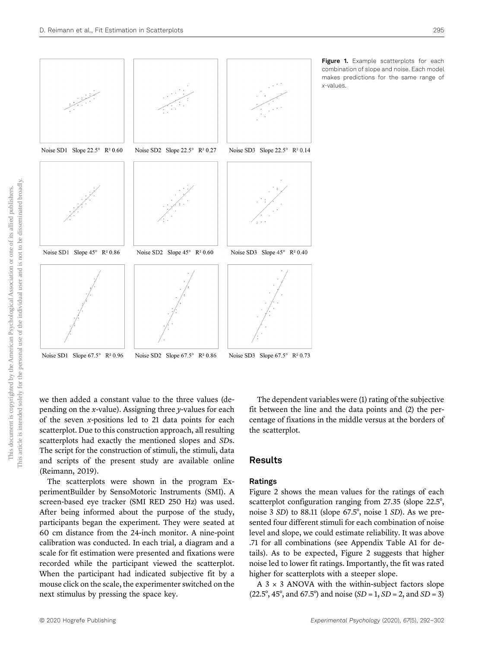

Figure 1. Example scatterplots for each combination of slope and noise. Each model makes predictions for the same range of x-values.

we then added a constant value to the three values (depending on the x-value). Assigning three  $\nu$ -values for each of the seven  $x$ -positions led to 21 data points for each scatterplot. Due to this construction approach, all resulting scatterplots had exactly the mentioned slopes and SDs. The script for the construction of stimuli, the stimuli, data and scripts of the present study are available online (Reimann, 2019).

The scatterplots were shown in the program ExperimentBuilder by SensoMotoric Instruments (SMI). A screen-based eye tracker (SMI RED 250 Hz) was used. After being informed about the purpose of the study, participants began the experiment. They were seated at 60 cm distance from the 24-inch monitor. A nine-point calibration was conducted. In each trial, a diagram and a scale for fit estimation were presented and fixations were recorded while the participant viewed the scatterplot. When the participant had indicated subjective fit by a mouse click on the scale, the experimenter switched on the next stimulus by pressing the space key.

The dependent variables were (1) rating of the subjective fit between the line and the data points and (2) the percentage of fixations in the middle versus at the borders of the scatterplot.

#### Results

#### Ratings

Figure 2 shows the mean values for the ratings of each scatterplot configuration ranging from 27.35 (slope 22.5°, noise 3 SD) to 88.11 (slope 67.5°, noise 1 SD). As we presented four different stimuli for each combination of noise level and slope, we could estimate reliability. It was above .71 for all combinations (see Appendix Table A1 for details). As to be expected, Figure 2 suggests that higher noise led to lower fit ratings. Importantly, the fit was rated higher for scatterplots with a steeper slope.

A  $3 \times 3$  ANOVA with the within-subject factors slope  $(22.5^{\circ}, 45^{\circ}, \text{ and } 67.5^{\circ})$  and noise  $(SD = 1, SD = 2, \text{ and } SD = 3)$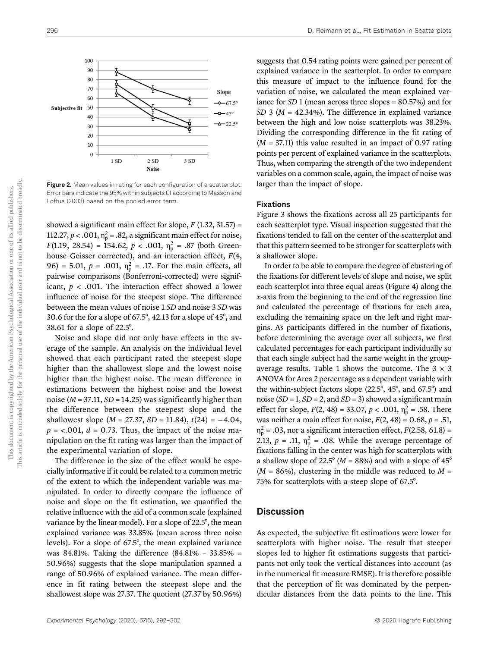

Figure 2. Mean values in rating for each configuration of a scatterplot. Error bars indicate the 95% within subjects CI according to Masson and Loftus (2003) based on the pooled error term.

showed a significant main effect for slope,  $F(1.32, 31.57) =$ 112.27,  $p < .001$ ,  $\eta_p^2 = .82$ , a significant main effect for noise,  $F(1.19, 28.54) = 154.62, p < .001, \eta_p^2 = .87$  (both Greenhouse-Geisser corrected), and an interaction effect,  $F(4, 4)$ 96) = 5.01,  $p = .001$ ,  $\eta_p^2 = .17$ . For the main effects, all pairwise comparisons (Bonferroni-corrected) were significant,  $p < .001$ . The interaction effect showed a lower influence of noise for the steepest slope. The difference between the mean values of noise 1 SD and noise 3 SD was 30.6 for the for a slope of 67.5°, 42.13 for a slope of 45°, and 38.61 for a slope of 22.5°.

Noise and slope did not only have effects in the average of the sample. An analysis on the individual level showed that each participant rated the steepest slope higher than the shallowest slope and the lowest noise higher than the highest noise. The mean difference in estimations between the highest noise and the lowest noise ( $M = 37.11$ ,  $SD = 14.25$ ) was significantly higher than the difference between the steepest slope and the shallowest slope ( $M = 27.37$ ,  $SD = 11.84$ ),  $t(24) = -4.04$ ,  $p = 0.001$ ,  $d = 0.73$ . Thus, the impact of the noise manipulation on the fit rating was larger than the impact of the experimental variation of slope.

The difference in the size of the effect would be especially informative if it could be related to a common metric of the extent to which the independent variable was manipulated. In order to directly compare the influence of noise and slope on the fit estimation, we quantified the relative influence with the aid of a common scale (explained variance by the linear model). For a slope of 22.5°, the mean explained variance was 33.85% (mean across three noise levels). For a slope of 67.5°, the mean explained variance was 84.81%. Taking the difference (84.81% – 33.85% = 50.96%) suggests that the slope manipulation spanned a range of 50.96% of explained variance. The mean difference in fit rating between the steepest slope and the shallowest slope was 27.37. The quotient (27.37 by 50.96%)

suggests that 0.54 rating points were gained per percent of explained variance in the scatterplot. In order to compare this measure of impact to the influence found for the variation of noise, we calculated the mean explained variance for SD 1 (mean across three slopes = 80.57%) and for  $SD$  3 ( $M = 42.34\%$ ). The difference in explained variance between the high and low noise scatterplots was 38.23%. Dividing the corresponding difference in the fit rating of  $(M = 37.11)$  this value resulted in an impact of 0.97 rating points per percent of explained variance in the scatterplots. Thus, when comparing the strength of the two independent variables on a common scale, again, the impact of noise was larger than the impact of slope.

#### Fixations

Figure 3 shows the fixations across all 25 participants for each scatterplot type. Visual inspection suggested that the fixations tended to fall on the center of the scatterplot and that this pattern seemed to be stronger for scatterplots with a shallower slope.

In order to be able to compare the degree of clustering of the fixations for different levels of slope and noise, we split each scatterplot into three equal areas (Figure 4) along the x-axis from the beginning to the end of the regression line and calculated the percentage of fixations for each area, excluding the remaining space on the left and right margins. As participants differed in the number of fixations, before determining the average over all subjects, we first calculated percentages for each participant individually so that each single subject had the same weight in the groupaverage results. Table 1 shows the outcome. The  $3 \times 3$ ANOVA for Area 2 percentage as a dependent variable with the within-subject factors slope (22.5°, 45°, and 67.5°) and noise ( $SD = 1$ ,  $SD = 2$ , and  $SD = 3$ ) showed a significant main effect for slope,  $F(2, 48) = 33.07$ ,  $p < .001$ ,  $\eta_p^2 = .58$ . There was neither a main effect for noise,  $F(2, 48) = 0.68$ ,  $p = .51$ ,  $\eta_p^2$  = .03, nor a significant interaction effect,  $F(2.58, 61.8)$  = 2.13,  $p = .11$ ,  $\eta_p^2 = .08$ . While the average percentage of fixations falling in the center was high for scatterplots with a shallow slope of 22.5 $\degree$  (*M* = 88%) and with a slope of 45 $\degree$  $(M = 86\%)$ , clustering in the middle was reduced to  $M =$ 75% for scatterplots with a steep slope of 67.5°.

#### **Discussion**

As expected, the subjective fit estimations were lower for scatterplots with higher noise. The result that steeper slopes led to higher fit estimations suggests that participants not only took the vertical distances into account (as in the numerical fit measure RMSE). It is therefore possible that the perception of fit was dominated by the perpendicular distances from the data points to the line. This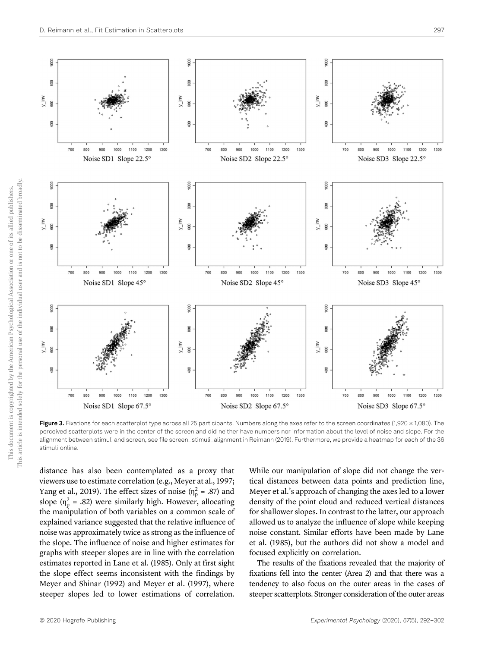

Figure 3. Fixations for each scatterplot type across all 25 participants. Numbers along the axes refer to the screen coordinates (1,920 × 1,080). The perceived scatterplots were in the center of the screen and did neither have numbers nor information about the level of noise and slope. For the alignment between stimuli and screen, see file screen\_stimuli\_alignment in Reimann (2019). Furthermore, we provide a heatmap for each of the 36 stimuli online.

distance has also been contemplated as a proxy that viewers use to estimate correlation (e.g., Meyer at al., 1997; Yang et al., 2019). The effect sizes of noise ( $\eta_p^2 = .87$ ) and slope ( $\eta_p^2$  = .82) were similarly high. However, allocating the manipulation of both variables on a common scale of explained variance suggested that the relative influence of noise was approximately twice as strong as the influence of the slope. The influence of noise and higher estimates for graphs with steeper slopes are in line with the correlation estimates reported in Lane et al. (1985). Only at first sight the slope effect seems inconsistent with the findings by Meyer and Shinar (1992) and Meyer et al. (1997), where steeper slopes led to lower estimations of correlation. While our manipulation of slope did not change the vertical distances between data points and prediction line, Meyer et al.'s approach of changing the axes led to a lower density of the point cloud and reduced vertical distances for shallower slopes. In contrast to the latter, our approach allowed us to analyze the influence of slope while keeping noise constant. Similar efforts have been made by Lane et al. (1985), but the authors did not show a model and focused explicitly on correlation.

The results of the fixations revealed that the majority of fixations fell into the center (Area 2) and that there was a tendency to also focus on the outer areas in the cases of steeper scatterplots. Stronger consideration of the outer areas

This document is copyrighted by the American Psychological Association or one of its allied publishers. This article is intended solely for the personal use of the individual user and is not to be disseminated broadly.

This document is copyrighted by the American Psychological Association or one of its allied publishers

This article is intended solely for the personal use of the individual user and is not to be disseminated broadly.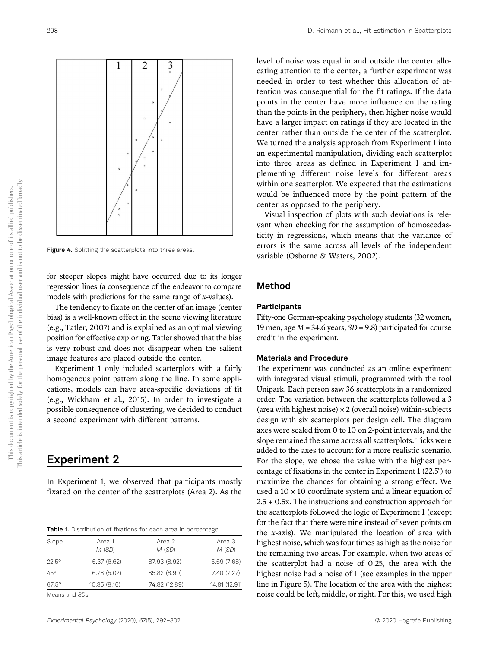

Figure 4. Splitting the scatterplots into three areas.

for steeper slopes might have occurred due to its longer regression lines (a consequence of the endeavor to compare models with predictions for the same range of  $x$ -values).

The tendency to fixate on the center of an image (center bias) is a well-known effect in the scene viewing literature (e.g., Tatler, 2007) and is explained as an optimal viewing position for effective exploring. Tatler showed that the bias is very robust and does not disappear when the salient image features are placed outside the center.

Experiment 1 only included scatterplots with a fairly homogenous point pattern along the line. In some applications, models can have area-specific deviations of fit (e.g., Wickham et al., 2015). In order to investigate a possible consequence of clustering, we decided to conduct a second experiment with different patterns.

## Experiment 2

In Experiment 1, we observed that participants mostly fixated on the center of the scatterplots (Area 2). As the

| <b>Table 1.</b> Distribution of fixations for each area in percentage |
|-----------------------------------------------------------------------|
|-----------------------------------------------------------------------|

| Slope          | Area 1<br>M (SD) | Area 2<br>M(SD) | Area 3<br>M (SD) |
|----------------|------------------|-----------------|------------------|
| $22.5^{\circ}$ | 6.37(6.62)       | 87.93 (8.92)    | 5.69(7.68)       |
| $45^{\circ}$   | 6.78(5.02)       | 85.82 (8.90)    | 7.40 (7.27)      |
| $67.5^\circ$   | 10.35 (8.16)     | 74.82 (12.89)   | 14.81 (12.91)    |
|                |                  |                 |                  |

Means and SDs.

level of noise was equal in and outside the center allocating attention to the center, a further experiment was needed in order to test whether this allocation of attention was consequential for the fit ratings. If the data points in the center have more influence on the rating than the points in the periphery, then higher noise would have a larger impact on ratings if they are located in the center rather than outside the center of the scatterplot. We turned the analysis approach from Experiment 1 into an experimental manipulation, dividing each scatterplot into three areas as defined in Experiment 1 and implementing different noise levels for different areas within one scatterplot. We expected that the estimations would be influenced more by the point pattern of the center as opposed to the periphery.

Visual inspection of plots with such deviations is relevant when checking for the assumption of homoscedasticity in regressions, which means that the variance of errors is the same across all levels of the independent variable (Osborne & Waters, 2002).

## Method

#### Participants

Fifty-one German-speaking psychology students (32 women, 19 men, age  $M = 34.6$  years,  $SD = 9.8$ ) participated for course credit in the experiment.

#### Materials and Procedure

The experiment was conducted as an online experiment with integrated visual stimuli, programmed with the tool Unipark. Each person saw 36 scatterplots in a randomized order. The variation between the scatterplots followed a 3 (area with highest noise)  $\times$  2 (overall noise) within-subjects design with six scatterplots per design cell. The diagram axes were scaled from 0 to 10 on 2-point intervals, and the slope remained the same across all scatterplots. Ticks were added to the axes to account for a more realistic scenario. For the slope, we chose the value with the highest percentage of fixations in the center in Experiment 1 (22.5°) to maximize the chances for obtaining a strong effect. We used a  $10 \times 10$  coordinate system and a linear equation of 2.5 + 0.5x. The instructions and construction approach for the scatterplots followed the logic of Experiment 1 (except for the fact that there were nine instead of seven points on the x-axis). We manipulated the location of area with highest noise, which was four times as high as the noise for the remaining two areas. For example, when two areas of the scatterplot had a noise of 0.25, the area with the highest noise had a noise of 1 (see examples in the upper line in Figure 5). The location of the area with the highest noise could be left, middle, or right. For this, we used high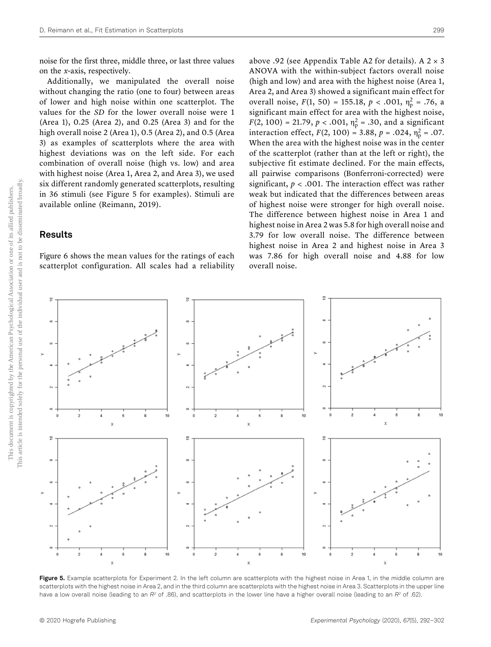noise for the first three, middle three, or last three values on the x-axis, respectively.

Additionally, we manipulated the overall noise without changing the ratio (one to four) between areas of lower and high noise within one scatterplot. The values for the SD for the lower overall noise were 1 (Area 1), 0.25 (Area 2), and 0.25 (Area 3) and for the high overall noise 2 (Area 1), 0.5 (Area 2), and 0.5 (Area 3) as examples of scatterplots where the area with highest deviations was on the left side. For each combination of overall noise (high vs. low) and area with highest noise (Area 1, Area 2, and Area 3), we used six different randomly generated scatterplots, resulting in 36 stimuli (see Figure 5 for examples). Stimuli are available online (Reimann, 2019).

## Results

Figure 6 shows the mean values for the ratings of each scatterplot configuration. All scales had a reliability above .92 (see Appendix Table A2 for details). A  $2 \times 3$ ANOVA with the within-subject factors overall noise (high and low) and area with the highest noise (Area 1, Area 2, and Area 3) showed a significant main effect for overall noise,  $F(1, 50) = 155.18, p < .001, \eta_p^2 = .76, a$ significant main effect for area with the highest noise,  $F(2, 100) = 21.79, p < .001, \eta_p^2 = .30$ , and a significant interaction effect,  $F(2, 100) = 3.88$ ,  $p = .024$ ,  $\eta_p^2 = .07$ . When the area with the highest noise was in the center of the scatterplot (rather than at the left or right), the subjective fit estimate declined. For the main effects, all pairwise comparisons (Bonferroni-corrected) were significant,  $p < .001$ . The interaction effect was rather weak but indicated that the differences between areas of highest noise were stronger for high overall noise. The difference between highest noise in Area 1 and highest noise in Area 2 was 5.8 for high overall noise and 3.79 for low overall noise. The difference between highest noise in Area 2 and highest noise in Area 3 was 7.86 for high overall noise and 4.88 for low overall noise.



Figure 5. Example scatterplots for Experiment 2. In the left column are scatterplots with the highest noise in Area 1, in the middle column are scatterplots with the highest noise in Area 2, and in the third column are scatterplots with the highest noise in Area 3. Scatterplots in the upper line have a low overall noise (leading to an  $R^2$  of .86), and scatterplots in the lower line have a higher overall noise (leading to an  $R^2$  of .62).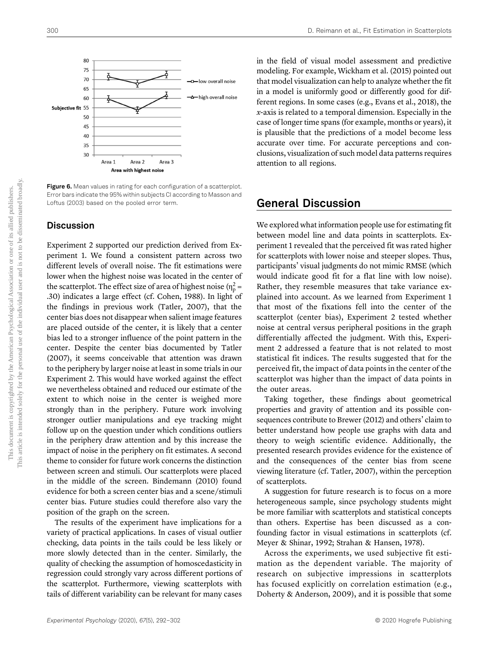

Figure 6. Mean values in rating for each configuration of a scatterplot. Error bars indicate the 95% within subjects CI according to Masson and Loftus (2003) based on the pooled error term.

#### **Discussion**

Experiment 2 supported our prediction derived from Experiment 1. We found a consistent pattern across two different levels of overall noise. The fit estimations were lower when the highest noise was located in the center of the scatterplot. The effect size of area of highest noise ( $\eta_p^2$  = .30) indicates a large effect (cf. Cohen, 1988). In light of the findings in previous work (Tatler, 2007), that the center bias does not disappear when salient image features are placed outside of the center, it is likely that a center bias led to a stronger influence of the point pattern in the center. Despite the center bias documented by Tatler (2007), it seems conceivable that attention was drawn to the periphery by larger noise at least in some trials in our Experiment 2. This would have worked against the effect we nevertheless obtained and reduced our estimate of the extent to which noise in the center is weighed more strongly than in the periphery. Future work involving stronger outlier manipulations and eye tracking might follow up on the question under which conditions outliers in the periphery draw attention and by this increase the impact of noise in the periphery on fit estimates. A second theme to consider for future work concerns the distinction between screen and stimuli. Our scatterplots were placed in the middle of the screen. Bindemann (2010) found evidence for both a screen center bias and a scene/stimuli center bias. Future studies could therefore also vary the position of the graph on the screen.

The results of the experiment have implications for a variety of practical applications. In cases of visual outlier checking, data points in the tails could be less likely or more slowly detected than in the center. Similarly, the quality of checking the assumption of homoscedasticity in regression could strongly vary across different portions of the scatterplot. Furthermore, viewing scatterplots with tails of different variability can be relevant for many cases

in the field of visual model assessment and predictive modeling. For example, Wickham et al. (2015) pointed out that model visualization can help to analyze whether the fit in a model is uniformly good or differently good for different regions. In some cases (e.g., Evans et al., 2018), the  $x$ -axis is related to a temporal dimension. Especially in the case of longer time spans (for example, months or years), it is plausible that the predictions of a model become less accurate over time. For accurate perceptions and conclusions, visualization of such model data patterns requires attention to all regions.

## General Discussion

We explored what information people use for estimating fit between model line and data points in scatterplots. Experiment 1 revealed that the perceived fit was rated higher for scatterplots with lower noise and steeper slopes. Thus, participants' visual judgments do not mimic RMSE (which would indicate good fit for a flat line with low noise). Rather, they resemble measures that take variance explained into account. As we learned from Experiment 1 that most of the fixations fell into the center of the scatterplot (center bias), Experiment 2 tested whether noise at central versus peripheral positions in the graph differentially affected the judgment. With this, Experiment 2 addressed a feature that is not related to most statistical fit indices. The results suggested that for the perceived fit, the impact of data points in the center of the scatterplot was higher than the impact of data points in the outer areas.

Taking together, these findings about geometrical properties and gravity of attention and its possible consequences contribute to Brewer (2012) and others' claim to better understand how people use graphs with data and theory to weigh scientific evidence. Additionally, the presented research provides evidence for the existence of and the consequences of the center bias from scene viewing literature (cf. Tatler, 2007), within the perception of scatterplots.

A suggestion for future research is to focus on a more heterogeneous sample, since psychology students might be more familiar with scatterplots and statistical concepts than others. Expertise has been discussed as a confounding factor in visual estimations in scatterplots (cf. Meyer & Shinar, 1992; Strahan & Hansen, 1978).

Across the experiments, we used subjective fit estimation as the dependent variable. The majority of research on subjective impressions in scatterplots has focused explicitly on correlation estimation (e.g., Doherty & Anderson, 2009), and it is possible that some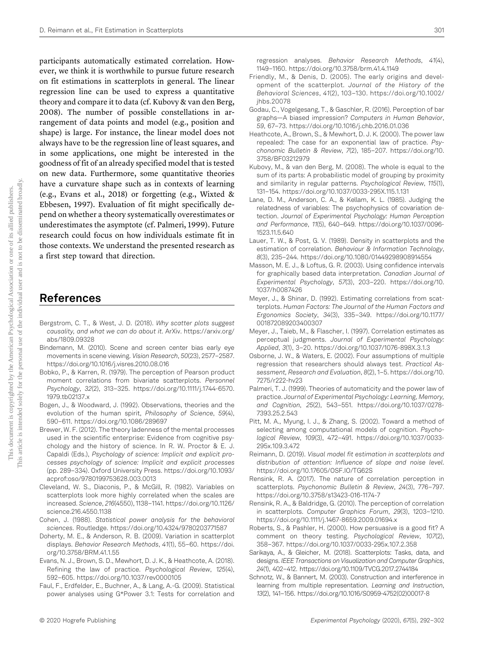participants automatically estimated correlation. However, we think it is worthwhile to pursue future research on fit estimations in scatterplots in general. The linear regression line can be used to express a quantitative theory and compare it to data (cf. Kubovy & van den Berg, 2008). The number of possible constellations in arrangement of data points and model (e.g., position and shape) is large. For instance, the linear model does not always have to be the regression line of least squares, and in some applications, one might be interested in the goodness of fit of an already specified model that is tested on new data. Furthermore, some quantitative theories have a curvature shape such as in contexts of learning (e.g., Evans et al., 2018) or forgetting (e.g., Wixted & Ebbesen, 1997). Evaluation of fit might specifically depend on whether a theory systematically overestimates or underestimates the asymptote (cf. Palmeri, 1999). Future research could focus on how individuals estimate fit in those contexts. We understand the presented research as a first step toward that direction.

## References

- Bergstrom, C. T., & West, J. D. (2018). Why scatter plots suggest causality, and what we can do about it. ArXiv. https://arxiv.org/ abs/1809.09328
- Bindemann, M. (2010). Scene and screen center bias early eye movements in scene viewing. Vision Research, 50(23), 2577–2587. https://doi.org/10.1016/j.visres.2010.08.016
- Bobko, P., & Karren, R. (1979). The perception of Pearson product moment correlations from bivariate scatterplots. Personnel Psychology, 32(2), 313–325. https://doi.org/10.1111/j.1744-6570. 1979.tb02137.x
- Bogen, J., & Woodward, J. (1992). Observations, theories and the evolution of the human spirit, Philosophy of Science, 59(4), 590–611. https://doi.org/10.1086/289697
- Brewer, W. F. (2012). The theory ladenness of the mental processes used in the scientific enterprise: Evidence from cognitive psychology and the history of science. In R. W. Proctor & E. J. Capaldi (Eds.), Psychology of science: Implicit and explicit processes psychology of science: Implicit and explicit processes (pp. 289–334). Oxford University Press. https://doi.org/10.1093/ acprof:oso/9780199753628.003.0013
- Cleveland, W. S., Diaconis, P., & McGill, R. (1982). Variables on scatterplots look more highly correlated when the scales are increased. Science, 216(4550), 1138–1141. https://doi.org/10.1126/ science.216.4550.1138
- Cohen, J. (1988). Statistical power analysis for the behavioral sciences. Routledge. https://doi.org/10.4324/9780203771587
- Doherty, M. E., & Anderson, R. B. (2009). Variation in scatterplot displays. Behavior Research Methods, 41(1), 55–60. https://doi. org/10.3758/BRM.41.1.55
- Evans, N. J., Brown, S. D., Mewhort, D. J. K., & Heathcote, A. (2018). Refining the law of practice. Psychological Review, 125(4), 592–605. https://doi.org/10.1037/rev0000105
- Faul, F., Erdfelder, E., Buchner, A., & Lang, A.-G. (2009). Statistical power analyses using G\*Power 3.1: Tests for correlation and

regression analyses. Behavior Research Methods, 41(4), 1149–1160. https://doi.org/10.3758/brm.41.4.1149

- Friendly, M., & Denis, D. (2005). The early origins and development of the scatterplot. Journal of the History of the Behavioral Sciences, 41(2), 103–130. https://doi.org/10.1002/ jhbs.20078
- Godau, C., Vogelgesang, T., & Gaschler, R. (2016). Perception of bar graphs—A biased impression? Computers in Human Behavior, 59, 67–73. https://doi.org/10.1016/j.chb.2016.01.036
- Heathcote, A., Brown, S., & Mewhort, D. J. K. (2000). The power law repealed: The case for an exponential law of practice. Psychonomic Bulletin & Review, 7(2), 185–207. https://doi.org/10. 3758/BF03212979
- Kubovy, M., & van den Berg, M. (2008). The whole is equal to the sum of its parts: A probabilistic model of grouping by proximity and similarity in regular patterns. Psychological Review, 115(1), 131–154. https://doi.org/10.1037/0033-295X.115.1.131
- Lane, D. M., Anderson, C. A., & Kellam, K. L. (1985). Judging the relatedness of variables: The psychophysics of covariation detection. Journal of Experimental Psychology: Human Perception and Performance, 11(5), 640–649. https://doi.org/10.1037/0096- 1523.11.5.640
- Lauer, T. W., & Post, G. V. (1989). Density in scatterplots and the estimation of correlation. Behaviour & Information Technology, 8(3), 235–244. https://doi.org/10.1080/01449298908914554
- Masson, M. E. J., & Loftus, G. R. (2003). Using confidence intervals for graphically based data interpretation. Canadian Journal of Experimental Psychology, 57(3), 203–220. https://doi.org/10. 1037/h0087426
- Meyer, J., & Shinar, D. (1992). Estimating correlations from scatterplots. Human Factors: The Journal of the Human Factors and Ergonomics Society, 34(3), 335–349. https://doi.org/10.1177/ 001872089203400307
- Meyer, J., Taieb, M., & Flascher, I. (1997). Correlation estimates as perceptual judgments. Journal of Experimental Psychology: Applied, 3(1), 3–20. https://doi.org/10.1037/1076-898X.3.1.3
- Osborne, J. W., & Waters, E. (2002). Four assumptions of multiple regression that researchers should always test. Practical Assessment, Research and Evaluation, 8(2), 1–5. https://doi.org/10. 7275/r222-hv23
- Palmeri, T. J. (1999). Theories of automaticity and the power law of practice. Journal of Experimental Psychology: Learning, Memory, and Cognition, 25(2), 543–551. https://doi.org/10.1037/0278- 7393.25.2.543
- Pitt, M. A., Myung, I. J., & Zhang, S. (2002). Toward a method of selecting among computational models of cognition. Psychological Review, 109(3), 472–491. https://doi.org/10.1037/0033- 295x.109.3.472
- Reimann, D. (2019). Visual model fit estimation in scatterplots and distribution of attention: Influence of slope and noise level. https://doi.org/10.17605/OSF.IO/TG62S
- Rensink, R. A. (2017). The nature of correlation perception in scatterplots. Psychonomic Bulletin & Review, 24(3), 776–797. https://doi.org/10.3758/s13423-016-1174-7
- Rensink, R. A., & Baldridge, G. (2010). The perception of correlation in scatterplots. Computer Graphics Forum, 29(3), 1203–1210. https://doi.org/10.1111/j.1467-8659.2009.01694.x
- Roberts, S., & Pashler, H. (2000). How persuasive is a good fit? A comment on theory testing. Psychological Review, 107(2), 358–367. https://doi.org/10.1037/0033-295x.107.2.358
- Sarikaya, A., & Gleicher, M. (2018). Scatterplots: Tasks, data, and designs. IEEE Transactions on Visualization and Computer Graphics, 24(1), 402–412. https://doi.org/10.1109/TVCG.2017.2744184
- Schnotz, W., & Bannert, M. (2003). Construction and interference in learning from multiple representation. Learning and Instruction, 13(2), 141–156. https://doi.org/10.1016/S0959-4752(02)00017-8